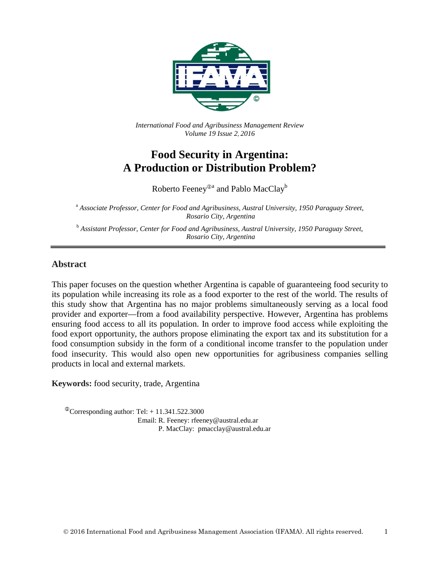

*International Food and Agribusiness Management Review Volume 19 Issue 2*, *2016*

# **Food Security in Argentina: A Production or Distribution Problem?**

Roberto Feeney<sup>®</sup> and Pablo MacClay<sup>b</sup>

<sup>a</sup> *Associate Professor, Center for Food and Agribusiness, Austral University, 1950 Paraguay Street, Rosario City, Argentina*

<sup>b</sup> *Assistant Professor, Center for Food and Agribusiness, Austral University, 1950 Paraguay Street, Rosario City, Argentina*

### **Abstract**

This paper focuses on the question whether Argentina is capable of guaranteeing food security to its population while increasing its role as a food exporter to the rest of the world. The results of this study show that Argentina has no major problems simultaneously serving as a local food provider and exporter—from a food availability perspective. However, Argentina has problems ensuring food access to all its population. In order to improve food access while exploiting the food export opportunity, the authors propose eliminating the export tax and its substitution for a food consumption subsidy in the form of a conditional income transfer to the population under food insecurity. This would also open new opportunities for agribusiness companies selling products in local and external markets.

**Keywords:** food security, trade, Argentina

 $\textcirc{}$ Corresponding author: Tel: + 11.341.522.3000 Email: R. Feeney: rfeeney@austral.edu.ar P. MacClay: pmacclay@austral.edu.ar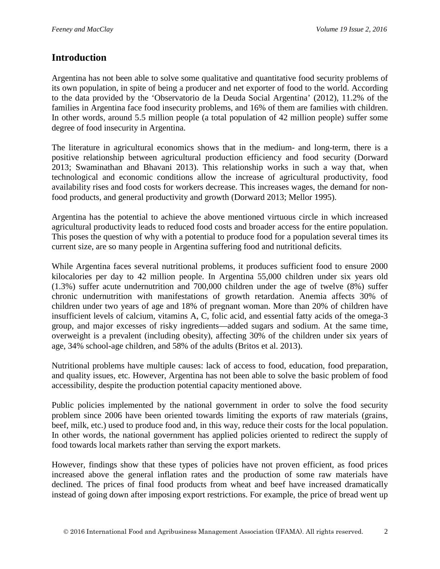## **Introduction**

Argentina has not been able to solve some qualitative and quantitative food security problems of its own population, in spite of being a producer and net exporter of food to the world. According to the data provided by the 'Observatorio de la Deuda Social Argentina' (2012), 11.2% of the families in Argentina face food insecurity problems, and 16% of them are families with children. In other words, around 5.5 million people (a total population of 42 million people) suffer some degree of food insecurity in Argentina.

The literature in agricultural economics shows that in the medium- and long-term, there is a positive relationship between agricultural production efficiency and food security (Dorward 2013; Swaminathan and Bhavani 2013). This relationship works in such a way that, when technological and economic conditions allow the increase of agricultural productivity, food availability rises and food costs for workers decrease. This increases wages, the demand for nonfood products, and general productivity and growth (Dorward 2013; Mellor 1995).

Argentina has the potential to achieve the above mentioned virtuous circle in which increased agricultural productivity leads to reduced food costs and broader access for the entire population. This poses the question of why with a potential to produce food for a population several times its current size, are so many people in Argentina suffering food and nutritional deficits.

While Argentina faces several nutritional problems, it produces sufficient food to ensure 2000 kilocalories per day to 42 million people. In Argentina 55,000 children under six years old (1.3%) suffer acute undernutrition and 700,000 children under the age of twelve (8%) suffer chronic undernutrition with manifestations of growth retardation. Anemia affects 30% of children under two years of age and 18% of pregnant woman. More than 20% of children have insufficient levels of calcium, vitamins A, C, folic acid, and essential fatty acids of the omega-3 group, and major excesses of risky ingredients—added sugars and sodium. At the same time, overweight is a prevalent (including obesity), affecting 30% of the children under six years of age, 34% school-age children, and 58% of the adults (Britos et al. 2013).

Nutritional problems have multiple causes: lack of access to food, education, food preparation, and quality issues, etc. However, Argentina has not been able to solve the basic problem of food accessibility, despite the production potential capacity mentioned above.

Public policies implemented by the national government in order to solve the food security problem since 2006 have been oriented towards limiting the exports of raw materials (grains, beef, milk, etc.) used to produce food and, in this way, reduce their costs for the local population. In other words, the national government has applied policies oriented to redirect the supply of food towards local markets rather than serving the export markets.

However, findings show that these types of policies have not proven efficient, as food prices increased above the general inflation rates and the production of some raw materials have declined. The prices of final food products from wheat and beef have increased dramatically instead of going down after imposing export restrictions. For example, the price of bread went up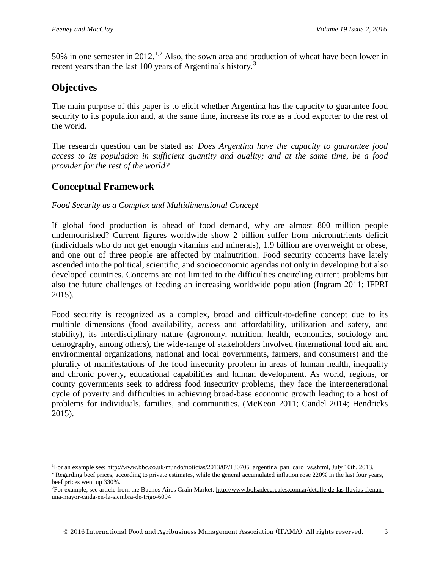50% in one semester in 2012.<sup>[1,](#page-2-0)[2](#page-2-1)</sup> Also, the sown area and production of wheat have been lower in recent years than the last 100 years of Argentina's history.<sup>[3](#page-2-2)</sup>

## **Objectives**

The main purpose of this paper is to elicit whether Argentina has the capacity to guarantee food security to its population and, at the same time, increase its role as a food exporter to the rest of the world.

The research question can be stated as: *Does Argentina have the capacity to guarantee food access to its population in sufficient quantity and quality; and at the same time, be a food provider for the rest of the world?*

## **Conceptual Framework**

### *Food Security as a Complex and Multidimensional Concept*

If global food production is ahead of food demand, why are almost 800 million people undernourished? Current figures worldwide show 2 billion suffer from micronutrients deficit (individuals who do not get enough vitamins and minerals), 1.9 billion are overweight or obese, and one out of three people are affected by malnutrition. Food security concerns have lately ascended into the political, scientific, and socioeconomic agendas not only in developing but also developed countries. Concerns are not limited to the difficulties encircling current problems but also the future challenges of feeding an increasing worldwide population (Ingram 2011; IFPRI 2015).

Food security is recognized as a complex, broad and difficult-to-define concept due to its multiple dimensions (food availability, access and affordability, utilization and safety, and stability), its interdisciplinary nature (agronomy, nutrition, health, economics, sociology and demography, among others), the wide-range of stakeholders involved (international food aid and environmental organizations, national and local governments, farmers, and consumers) and the plurality of manifestations of the food insecurity problem in areas of human health, inequality and chronic poverty, educational capabilities and human development. As world, regions, or county governments seek to address food insecurity problems, they face the intergenerational cycle of poverty and difficulties in achieving broad-base economic growth leading to a host of problems for individuals, families, and communities. (McKeon 2011; Candel 2014; Hendricks 2015).

<span id="page-2-0"></span> $\frac{1}{1}$ <sup>1</sup>For an example see:  $\underline{http://www.bbc.co.uk/mundo/noticians/2013/07/130705_a}$  argentina pan\_caro\_vs.shtml, July 10th, 2013.<br><sup>2</sup> Regarding beef prices, according to private estimates, while the general accumulated inflation rose 220% in the

<span id="page-2-1"></span>beef prices went up 330%.

<span id="page-2-2"></span><sup>&</sup>lt;sup>3</sup>For example, see article from the Buenos Aires Grain Market[: http://www.bolsadecereales.com.ar/detalle-de-las-lluvias-frenan](http://www.bolsadecereales.com.ar/detalle-de-las-lluvias-frenan-una-mayor-caida-en-la-siembra-de-trigo-6094)[una-mayor-caida-en-la-siembra-de-trigo-6094](http://www.bolsadecereales.com.ar/detalle-de-las-lluvias-frenan-una-mayor-caida-en-la-siembra-de-trigo-6094)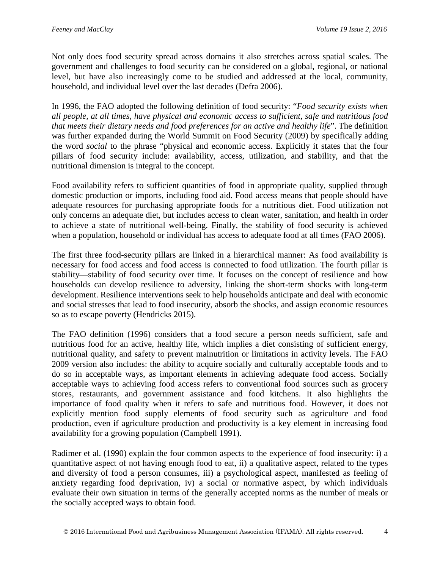Not only does food security spread across domains it also stretches across spatial scales. The government and challenges to food security can be considered on a global, regional, or national level, but have also increasingly come to be studied and addressed at the local, community, household, and individual level over the last decades (Defra 2006).

In 1996, the FAO adopted the following definition of food security: "*Food security exists when all people, at all times, have physical and economic access to sufficient, safe and nutritious food that meets their dietary needs and food preferences for an active and healthy life*". The definition was further expanded during the World Summit on Food Security (2009) by specifically adding the word *social* to the phrase "physical and economic access. Explicitly it states that the four pillars of food security include: availability, access, utilization, and stability, and that the nutritional dimension is integral to the concept.

Food availability refers to sufficient quantities of food in appropriate quality, supplied through domestic production or imports, including food aid. Food access means that people should have adequate resources for purchasing appropriate foods for a nutritious diet. Food utilization not only concerns an adequate diet, but includes access to clean water, sanitation, and health in order to achieve a state of nutritional well-being. Finally, the stability of food security is achieved when a population, household or individual has access to adequate food at all times (FAO 2006).

The first three food-security pillars are linked in a hierarchical manner: As food availability is necessary for food access and food access is connected to food utilization. The fourth pillar is stability—stability of food security over time. It focuses on the concept of resilience and how households can develop resilience to adversity, linking the short-term shocks with long-term development. Resilience interventions seek to help households anticipate and deal with economic and social stresses that lead to food insecurity, absorb the shocks, and assign economic resources so as to escape poverty (Hendricks 2015).

The FAO definition (1996) considers that a food secure a person needs sufficient, safe and nutritious food for an active, healthy life, which implies a diet consisting of sufficient energy, nutritional quality, and safety to prevent malnutrition or limitations in activity levels. The FAO 2009 version also includes: the ability to acquire socially and culturally acceptable foods and to do so in acceptable ways, as important elements in achieving adequate food access. Socially acceptable ways to achieving food access refers to conventional food sources such as grocery stores, restaurants, and government assistance and food kitchens. It also highlights the importance of food quality when it refers to safe and nutritious food. However, it does not explicitly mention food supply elements of food security such as agriculture and food production, even if agriculture production and productivity is a key element in increasing food availability for a growing population (Campbell 1991).

Radimer et al. (1990) explain the four common aspects to the experience of food insecurity: i) a quantitative aspect of not having enough food to eat, ii) a qualitative aspect, related to the types and diversity of food a person consumes, iii) a psychological aspect, manifested as feeling of anxiety regarding food deprivation, iv) a social or normative aspect, by which individuals evaluate their own situation in terms of the generally accepted norms as the number of meals or the socially accepted ways to obtain food.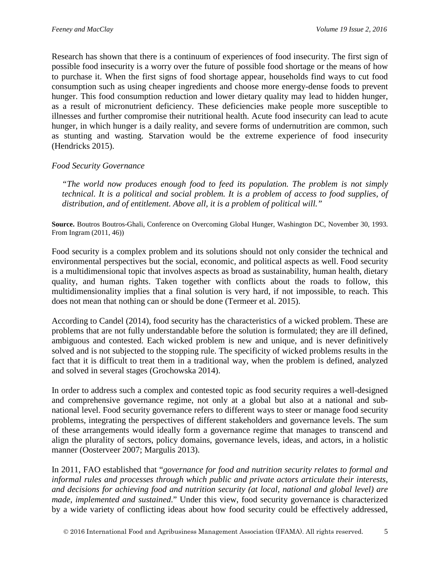Research has shown that there is a continuum of experiences of food insecurity. The first sign of possible food insecurity is a worry over the future of possible food shortage or the means of how to purchase it. When the first signs of food shortage appear, households find ways to cut food consumption such as using cheaper ingredients and choose more energy-dense foods to prevent hunger. This food consumption reduction and lower dietary quality may lead to hidden hunger, as a result of micronutrient deficiency. These deficiencies make people more susceptible to illnesses and further compromise their nutritional health. Acute food insecurity can lead to acute hunger, in which hunger is a daily reality, and severe forms of undernutrition are common, such as stunting and wasting. Starvation would be the extreme experience of food insecurity (Hendricks 2015).

### *Food Security Governance*

*"The world now produces enough food to feed its population. The problem is not simply technical. It is a political and social problem. It is a problem of access to food supplies, of distribution, and of entitlement. Above all, it is a problem of political will."*

**Source.** Boutros Boutros-Ghali, Conference on Overcoming Global Hunger, Washington DC, November 30, 1993. From Ingram (2011, 46))

Food security is a complex problem and its solutions should not only consider the technical and environmental perspectives but the social, economic, and political aspects as well. Food security is a multidimensional topic that involves aspects as broad as sustainability, human health, dietary quality, and human rights. Taken together with conflicts about the roads to follow, this multidimensionality implies that a final solution is very hard, if not impossible, to reach. This does not mean that nothing can or should be done (Termeer et al. 2015).

According to Candel (2014), food security has the characteristics of a wicked problem. These are problems that are not fully understandable before the solution is formulated; they are ill defined, ambiguous and contested. Each wicked problem is new and unique, and is never definitively solved and is not subjected to the stopping rule. The specificity of wicked problems results in the fact that it is difficult to treat them in a traditional way, when the problem is defined, analyzed and solved in several stages (Grochowska 2014).

In order to address such a complex and contested topic as food security requires a well-designed and comprehensive governance regime, not only at a global but also at a national and subnational level. Food security governance refers to different ways to steer or manage food security problems, integrating the perspectives of different stakeholders and governance levels. The sum of these arrangements would ideally form a governance regime that manages to transcend and align the plurality of sectors, policy domains, governance levels, ideas, and actors, in a holistic manner (Oosterveer 2007; Margulis 2013).

In 2011, FAO established that "*governance for food and nutrition security relates to formal and informal rules and processes through which public and private actors articulate their interests, and decisions for achieving food and nutrition security (at local, national and global level) are made, implemented and sustained*." Under this view, food security governance is characterized by a wide variety of conflicting ideas about how food security could be effectively addressed,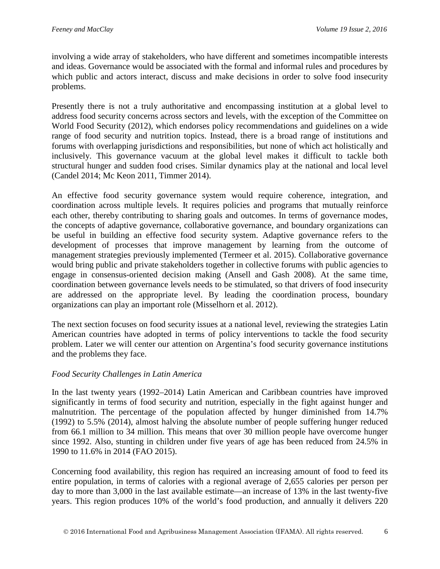involving a wide array of stakeholders, who have different and sometimes incompatible interests and ideas. Governance would be associated with the formal and informal rules and procedures by which public and actors interact, discuss and make decisions in order to solve food insecurity problems.

Presently there is not a truly authoritative and encompassing institution at a global level to address food security concerns across sectors and levels, with the exception of the Committee on World Food Security (2012), which endorses policy recommendations and guidelines on a wide range of food security and nutrition topics. Instead, there is a broad range of institutions and forums with overlapping jurisdictions and responsibilities, but none of which act holistically and inclusively. This governance vacuum at the global level makes it difficult to tackle both structural hunger and sudden food crises. Similar dynamics play at the national and local level (Candel 2014; Mc Keon 2011, Timmer 2014).

An effective food security governance system would require coherence, integration, and coordination across multiple levels. It requires policies and programs that mutually reinforce each other, thereby contributing to sharing goals and outcomes. In terms of governance modes, the concepts of adaptive governance, collaborative governance, and boundary organizations can be useful in building an effective food security system. Adaptive governance refers to the development of processes that improve management by learning from the outcome of management strategies previously implemented (Termeer et al. 2015). Collaborative governance would bring public and private stakeholders together in collective forums with public agencies to engage in consensus-oriented decision making (Ansell and Gash 2008). At the same time, coordination between governance levels needs to be stimulated, so that drivers of food insecurity are addressed on the appropriate level. By leading the coordination process, boundary organizations can play an important role (Misselhorn et al. 2012).

The next section focuses on food security issues at a national level, reviewing the strategies Latin American countries have adopted in terms of policy interventions to tackle the food security problem. Later we will center our attention on Argentina's food security governance institutions and the problems they face.

### *Food Security Challenges in Latin America*

In the last twenty years (1992–2014) Latin American and Caribbean countries have improved significantly in terms of food security and nutrition, especially in the fight against hunger and malnutrition. The percentage of the population affected by hunger diminished from 14.7% (1992) to 5.5% (2014), almost halving the absolute number of people suffering hunger reduced from 66.1 million to 34 million. This means that over 30 million people have overcome hunger since 1992. Also, stunting in children under five years of age has been reduced from 24.5% in 1990 to 11.6% in 2014 (FAO 2015).

Concerning food availability, this region has required an increasing amount of food to feed its entire population, in terms of calories with a regional average of 2,655 calories per person per day to more than 3,000 in the last available estimate—an increase of 13% in the last twenty-five years. This region produces 10% of the world's food production, and annually it delivers 220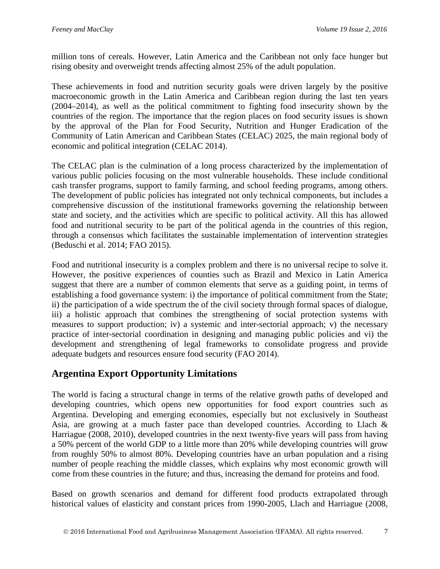million tons of cereals. However, Latin America and the Caribbean not only face hunger but rising obesity and overweight trends affecting almost 25% of the adult population.

These achievements in food and nutrition security goals were driven largely by the positive macroeconomic growth in the Latin America and Caribbean region during the last ten years (2004–2014), as well as the political commitment to fighting food insecurity shown by the countries of the region. The importance that the region places on food security issues is shown by the approval of the Plan for Food Security, Nutrition and Hunger Eradication of the Community of Latin American and Caribbean States (CELAC) 2025, the main regional body of economic and political integration (CELAC 2014).

The CELAC plan is the culmination of a long process characterized by the implementation of various public policies focusing on the most vulnerable households. These include conditional cash transfer programs, support to family farming, and school feeding programs, among others. The development of public policies has integrated not only technical components, but includes a comprehensive discussion of the institutional frameworks governing the relationship between state and society, and the activities which are specific to political activity. All this has allowed food and nutritional security to be part of the political agenda in the countries of this region, through a consensus which facilitates the sustainable implementation of intervention strategies (Beduschi et al. 2014; FAO 2015).

Food and nutritional insecurity is a complex problem and there is no universal recipe to solve it. However, the positive experiences of counties such as Brazil and Mexico in Latin America suggest that there are a number of common elements that serve as a guiding point, in terms of establishing a food governance system: i) the importance of political commitment from the State; ii) the participation of a wide spectrum the of the civil society through formal spaces of dialogue, iii) a holistic approach that combines the strengthening of social protection systems with measures to support production; iv) a systemic and inter-sectorial approach; v) the necessary practice of inter-sectorial coordination in designing and managing public policies and vi) the development and strengthening of legal frameworks to consolidate progress and provide adequate budgets and resources ensure food security (FAO 2014).

# **Argentina Export Opportunity Limitations**

The world is facing a structural change in terms of the relative growth paths of developed and developing countries, which opens new opportunities for food export countries such as Argentina. Developing and emerging economies, especially but not exclusively in Southeast Asia, are growing at a much faster pace than developed countries. According to Llach & Harriague (2008, 2010), developed countries in the next twenty-five years will pass from having a 50% percent of the world GDP to a little more than 20% while developing countries will grow from roughly 50% to almost 80%. Developing countries have an urban population and a rising number of people reaching the middle classes, which explains why most economic growth will come from these countries in the future; and thus, increasing the demand for proteins and food.

Based on growth scenarios and demand for different food products extrapolated through historical values of elasticity and constant prices from 1990-2005, Llach and Harriague (2008,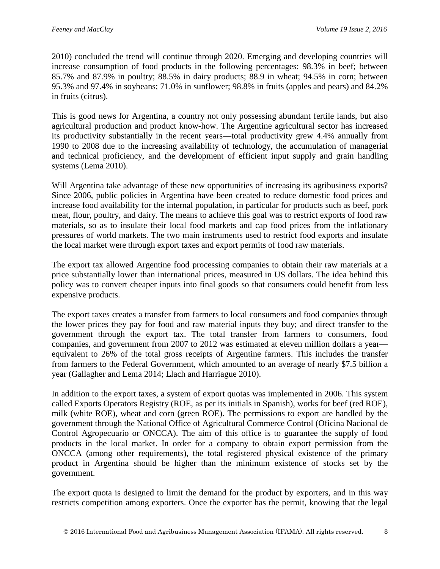2010) concluded the trend will continue through 2020. Emerging and developing countries will increase consumption of food products in the following percentages: 98.3% in beef; between 85.7% and 87.9% in poultry; 88.5% in dairy products; 88.9 in wheat; 94.5% in corn; between 95.3% and 97.4% in soybeans; 71.0% in sunflower; 98.8% in fruits (apples and pears) and 84.2% in fruits (citrus).

This is good news for Argentina, a country not only possessing abundant fertile lands, but also agricultural production and product know-how. The Argentine agricultural sector has increased its productivity substantially in the recent years—total productivity grew 4.4% annually from 1990 to 2008 due to the increasing availability of technology, the accumulation of managerial and technical proficiency, and the development of efficient input supply and grain handling systems (Lema 2010).

Will Argentina take advantage of these new opportunities of increasing its agribusiness exports? Since 2006, public policies in Argentina have been created to reduce domestic food prices and increase food availability for the internal population, in particular for products such as beef, pork meat, flour, poultry, and dairy. The means to achieve this goal was to restrict exports of food raw materials, so as to insulate their local food markets and cap food prices from the inflationary pressures of world markets. The two main instruments used to restrict food exports and insulate the local market were through export taxes and export permits of food raw materials.

The export tax allowed Argentine food processing companies to obtain their raw materials at a price substantially lower than international prices, measured in US dollars. The idea behind this policy was to convert cheaper inputs into final goods so that consumers could benefit from less expensive products.

The export taxes creates a transfer from farmers to local consumers and food companies through the lower prices they pay for food and raw material inputs they buy; and direct transfer to the government through the export tax. The total transfer from farmers to consumers, food companies, and government from 2007 to 2012 was estimated at eleven million dollars a year equivalent to 26% of the total gross receipts of Argentine farmers. This includes the transfer from farmers to the Federal Government, which amounted to an average of nearly \$7.5 billion a year (Gallagher and Lema 2014; Llach and Harriague 2010).

In addition to the export taxes, a system of export quotas was implemented in 2006. This system called Exports Operators Registry (ROE, as per its initials in Spanish), works for beef (red ROE), milk (white ROE), wheat and corn (green ROE). The permissions to export are handled by the government through the National Office of Agricultural Commerce Control (Oficina Nacional de Control Agropecuario or ONCCA). The aim of this office is to guarantee the supply of food products in the local market. In order for a company to obtain export permission from the ONCCA (among other requirements), the total registered physical existence of the primary product in Argentina should be higher than the minimum existence of stocks set by the government.

The export quota is designed to limit the demand for the product by exporters, and in this way restricts competition among exporters. Once the exporter has the permit, knowing that the legal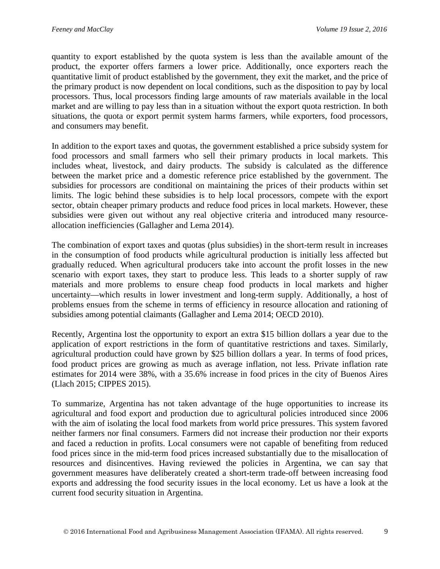quantity to export established by the quota system is less than the available amount of the product, the exporter offers farmers a lower price. Additionally, once exporters reach the quantitative limit of product established by the government, they exit the market, and the price of the primary product is now dependent on local conditions, such as the disposition to pay by local processors. Thus, local processors finding large amounts of raw materials available in the local market and are willing to pay less than in a situation without the export quota restriction. In both situations, the quota or export permit system harms farmers, while exporters, food processors, and consumers may benefit.

In addition to the export taxes and quotas, the government established a price subsidy system for food processors and small farmers who sell their primary products in local markets. This includes wheat, livestock, and dairy products. The subsidy is calculated as the difference between the market price and a domestic reference price established by the government. The subsidies for processors are conditional on maintaining the prices of their products within set limits. The logic behind these subsidies is to help local processors, compete with the export sector, obtain cheaper primary products and reduce food prices in local markets. However, these subsidies were given out without any real objective criteria and introduced many resourceallocation inefficiencies (Gallagher and Lema 2014).

The combination of export taxes and quotas (plus subsidies) in the short-term result in increases in the consumption of food products while agricultural production is initially less affected but gradually reduced. When agricultural producers take into account the profit losses in the new scenario with export taxes, they start to produce less. This leads to a shorter supply of raw materials and more problems to ensure cheap food products in local markets and higher uncertainty—which results in lower investment and long-term supply. Additionally, a host of problems ensues from the scheme in terms of efficiency in resource allocation and rationing of subsidies among potential claimants (Gallagher and Lema 2014; OECD 2010).

Recently, Argentina lost the opportunity to export an extra \$15 billion dollars a year due to the application of export restrictions in the form of quantitative restrictions and taxes. Similarly, agricultural production could have grown by \$25 billion dollars a year. In terms of food prices, food product prices are growing as much as average inflation, not less. Private inflation rate estimates for 2014 were 38%, with a 35.6% increase in food prices in the city of Buenos Aires (Llach 2015; CIPPES 2015).

To summarize, Argentina has not taken advantage of the huge opportunities to increase its agricultural and food export and production due to agricultural policies introduced since 2006 with the aim of isolating the local food markets from world price pressures. This system favored neither farmers nor final consumers. Farmers did not increase their production nor their exports and faced a reduction in profits. Local consumers were not capable of benefiting from reduced food prices since in the mid-term food prices increased substantially due to the misallocation of resources and disincentives. Having reviewed the policies in Argentina, we can say that government measures have deliberately created a short-term trade-off between increasing food exports and addressing the food security issues in the local economy. Let us have a look at the current food security situation in Argentina.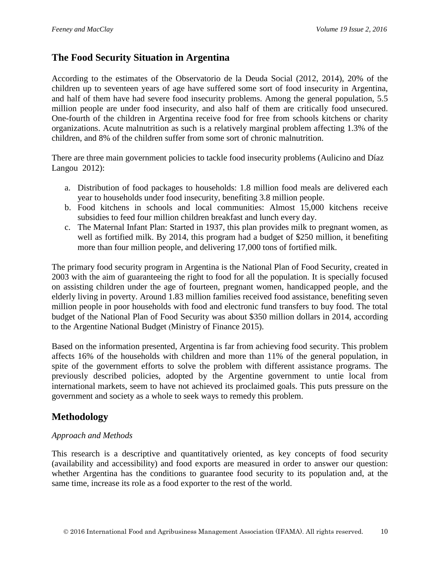# **The Food Security Situation in Argentina**

According to the estimates of the Observatorio de la Deuda Social (2012, 2014), 20% of the children up to seventeen years of age have suffered some sort of food insecurity in Argentina, and half of them have had severe food insecurity problems. Among the general population, 5.5 million people are under food insecurity, and also half of them are critically food unsecured. One-fourth of the children in Argentina receive food for free from schools kitchens or charity organizations. Acute malnutrition as such is a relatively marginal problem affecting 1.3% of the children, and 8% of the children suffer from some sort of chronic malnutrition.

There are three main government policies to tackle food insecurity problems (Aulicino and Díaz Langou 2012):

- a. Distribution of food packages to households: 1.8 million food meals are delivered each year to households under food insecurity, benefiting 3.8 million people.
- b. Food kitchens in schools and local communities: Almost 15,000 kitchens receive subsidies to feed four million children breakfast and lunch every day.
- c. The Maternal Infant Plan: Started in 1937, this plan provides milk to pregnant women, as well as fortified milk. By 2014, this program had a budget of \$250 million, it benefiting more than four million people, and delivering 17,000 tons of fortified milk.

The primary food security program in Argentina is the National Plan of Food Security, created in 2003 with the aim of guaranteeing the right to food for all the population. It is specially focused on assisting children under the age of fourteen, pregnant women, handicapped people, and the elderly living in poverty. Around 1.83 million families received food assistance, benefiting seven million people in poor households with food and electronic fund transfers to buy food. The total budget of the National Plan of Food Security was about \$350 million dollars in 2014, according to the Argentine National Budget (Ministry of Finance 2015).

Based on the information presented, Argentina is far from achieving food security. This problem affects 16% of the households with children and more than 11% of the general population, in spite of the government efforts to solve the problem with different assistance programs. The previously described policies, adopted by the Argentine government to untie local from international markets, seem to have not achieved its proclaimed goals. This puts pressure on the government and society as a whole to seek ways to remedy this problem.

# **Methodology**

### *Approach and Methods*

This research is a descriptive and quantitatively oriented, as key concepts of food security (availability and accessibility) and food exports are measured in order to answer our question: whether Argentina has the conditions to guarantee food security to its population and, at the same time, increase its role as a food exporter to the rest of the world.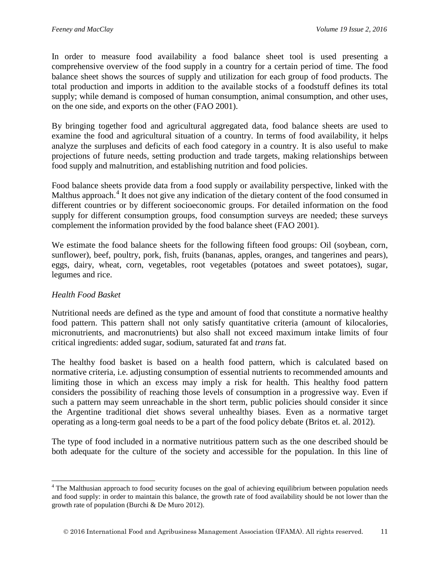In order to measure food availability a food balance sheet tool is used presenting a comprehensive overview of the food supply in a country for a certain period of time. The food balance sheet shows the sources of supply and utilization for each group of food products. The total production and imports in addition to the available stocks of a foodstuff defines its total supply; while demand is composed of human consumption, animal consumption, and other uses, on the one side, and exports on the other (FAO 2001).

By bringing together food and agricultural aggregated data, food balance sheets are used to examine the food and agricultural situation of a country. In terms of food availability, it helps analyze the surpluses and deficits of each food category in a country. It is also useful to make projections of future needs, setting production and trade targets, making relationships between food supply and malnutrition, and establishing nutrition and food policies.

Food balance sheets provide data from a food supply or availability perspective, linked with the Malthus approach.<sup>[4](#page-10-0)</sup> It does not give any indication of the dietary content of the food consumed in different countries or by different socioeconomic groups. For detailed information on the food supply for different consumption groups, food consumption surveys are needed; these surveys complement the information provided by the food balance sheet (FAO 2001).

We estimate the food balance sheets for the following fifteen food groups: Oil (soybean, corn, sunflower), beef, poultry, pork, fish, fruits (bananas, apples, oranges, and tangerines and pears), eggs, dairy, wheat, corn, vegetables, root vegetables (potatoes and sweet potatoes), sugar, legumes and rice.

### *Health Food Basket*

Nutritional needs are defined as the type and amount of food that constitute a normative healthy food pattern. This pattern shall not only satisfy quantitative criteria (amount of kilocalories, micronutrients, and macronutrients) but also shall not exceed maximum intake limits of four critical ingredients: added sugar, sodium, saturated fat and *trans* fat.

The healthy food basket is based on a health food pattern, which is calculated based on normative criteria, i.e. adjusting consumption of essential nutrients to recommended amounts and limiting those in which an excess may imply a risk for health. This healthy food pattern considers the possibility of reaching those levels of consumption in a progressive way. Even if such a pattern may seem unreachable in the short term, public policies should consider it since the Argentine traditional diet shows several unhealthy biases. Even as a normative target operating as a long-term goal needs to be a part of the food policy debate (Britos et. al. 2012).

The type of food included in a normative nutritious pattern such as the one described should be both adequate for the culture of the society and accessible for the population. In this line of

<span id="page-10-0"></span><sup>&</sup>lt;sup>4</sup> The Malthusian approach to food security focuses on the goal of achieving equilibrium between population needs and food supply: in order to maintain this balance, the growth rate of food availability should be not lower than the growth rate of population (Burchi & De Muro 2012).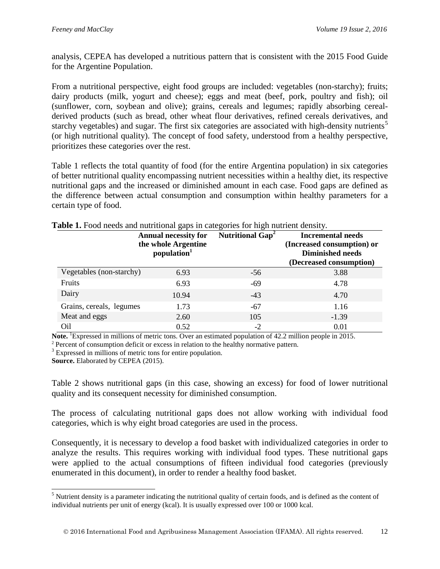analysis, CEPEA has developed a nutritious pattern that is consistent with the 2015 Food Guide for the Argentine Population.

From a nutritional perspective, eight food groups are included: vegetables (non-starchy); fruits; dairy products (milk, yogurt and cheese); eggs and meat (beef, pork, poultry and fish); oil (sunflower, corn, soybean and olive); grains, cereals and legumes; rapidly absorbing cerealderived products (such as bread, other wheat flour derivatives, refined cereals derivatives, and starchy vegetables) and sugar. The first six categories are associated with high-density nutrients<sup>[5](#page-11-0)</sup> (or high nutritional quality). The concept of food safety, understood from a healthy perspective, prioritizes these categories over the rest.

Table 1 reflects the total quantity of food (for the entire Argentina population) in six categories of better nutritional quality encompassing nutrient necessities within a healthy diet, its respective nutritional gaps and the increased or diminished amount in each case. Food gaps are defined as the difference between actual consumption and consumption within healthy parameters for a certain type of food.

|                          | <b>Annual necessity for</b><br>the whole Argentine<br>population <sup>1</sup> | Nutritional Gap <sup>2</sup> | <b>Incremental needs</b><br>(Increased consumption) or<br><b>Diminished needs</b><br>(Decreased consumption) |
|--------------------------|-------------------------------------------------------------------------------|------------------------------|--------------------------------------------------------------------------------------------------------------|
| Vegetables (non-starchy) | 6.93                                                                          | $-56$                        | 3.88                                                                                                         |
| Fruits                   | 6.93                                                                          | $-69$                        | 4.78                                                                                                         |
| Dairy                    | 10.94                                                                         | $-43$                        | 4.70                                                                                                         |
| Grains, cereals, legumes | 1.73                                                                          | $-67$                        | 1.16                                                                                                         |
| Meat and eggs            | 2.60                                                                          | 105                          | $-1.39$                                                                                                      |
| O <sub>il</sub>          | 0.52                                                                          | $-2$                         | 0.01                                                                                                         |

#### **Table 1.** Food needs and nutritional gaps in categories for high nutrient density.

Note. <sup>1</sup>Expressed in millions of metric tons. Over an estimated population of 42.2 million people in 2015.

 $2^2$  Percent of consumption deficit or excess in relation to the healthy normative pattern.  $3$  Expressed in millions of metric tons for entire population.

**Source.** Elaborated by CEPEA (2015).

Table 2 shows nutritional gaps (in this case, showing an excess) for food of lower nutritional quality and its consequent necessity for diminished consumption.

The process of calculating nutritional gaps does not allow working with individual food categories, which is why eight broad categories are used in the process.

Consequently, it is necessary to develop a food basket with individualized categories in order to analyze the results. This requires working with individual food types. These nutritional gaps were applied to the actual consumptions of fifteen individual food categories (previously enumerated in this document), in order to render a healthy food basket.

<span id="page-11-0"></span><sup>&</sup>lt;sup>5</sup> Nutrient density is a parameter indicating the nutritional quality of certain foods, and is defined as the content of individual nutrients per unit of energy (kcal). It is usually expressed over 100 or 1000 kcal.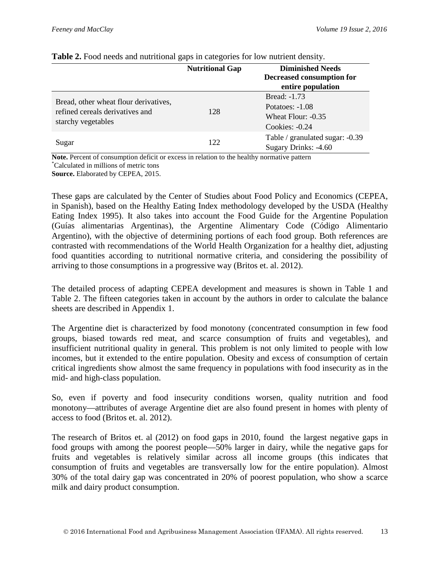|                                                                                                | <b>Nutritional Gap</b> | <b>Diminished Needs</b><br>Decreased consumption for<br>entire population   |
|------------------------------------------------------------------------------------------------|------------------------|-----------------------------------------------------------------------------|
| Bread, other wheat flour derivatives,<br>refined cereals derivatives and<br>starchy vegetables | 128                    | Bread: -1.73<br>Potatoes: -1.08<br>Wheat Flour: $-0.35$<br>Cookies: $-0.24$ |
| Sugar                                                                                          | 122                    | Table / granulated sugar: -0.39<br>Sugary Drinks: -4.60                     |

### **Table 2.** Food needs and nutritional gaps in categories for low nutrient density.

**Note.** Percent of consumption deficit or excess in relation to the healthy normative pattern Calculated in millions of metric tons

**Source.** Elaborated by CEPEA, 2015.

These gaps are calculated by the Center of Studies about Food Policy and Economics (CEPEA, in Spanish), based on the Healthy Eating Index methodology developed by the USDA (Healthy Eating Index 1995). It also takes into account the Food Guide for the Argentine Population (Guías alimentarias Argentinas), the Argentine Alimentary Code (Código Alimentario Argentino), with the objective of determining portions of each food group. Both references are contrasted with recommendations of the World Health Organization for a healthy diet, adjusting food quantities according to nutritional normative criteria, and considering the possibility of arriving to those consumptions in a progressive way (Britos et. al. 2012).

The detailed process of adapting CEPEA development and measures is shown in Table 1 and Table 2. The fifteen categories taken in account by the authors in order to calculate the balance sheets are described in Appendix 1.

The Argentine diet is characterized by food monotony (concentrated consumption in few food groups, biased towards red meat, and scarce consumption of fruits and vegetables), and insufficient nutritional quality in general. This problem is not only limited to people with low incomes, but it extended to the entire population. Obesity and excess of consumption of certain critical ingredients show almost the same frequency in populations with food insecurity as in the mid- and high-class population.

So, even if poverty and food insecurity conditions worsen, quality nutrition and food monotony—attributes of average Argentine diet are also found present in homes with plenty of access to food (Britos et. al. 2012).

The research of Britos et. al (2012) on food gaps in 2010, found the largest negative gaps in food groups with among the poorest people—50% larger in dairy, while the negative gaps for fruits and vegetables is relatively similar across all income groups (this indicates that consumption of fruits and vegetables are transversally low for the entire population). Almost 30% of the total dairy gap was concentrated in 20% of poorest population, who show a scarce milk and dairy product consumption.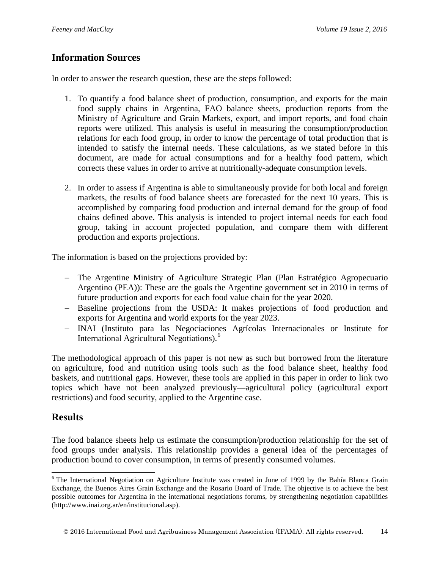# **Information Sources**

In order to answer the research question, these are the steps followed:

- 1. To quantify a food balance sheet of production, consumption, and exports for the main food supply chains in Argentina, FAO balance sheets, production reports from the Ministry of Agriculture and Grain Markets, export, and import reports, and food chain reports were utilized. This analysis is useful in measuring the consumption/production relations for each food group, in order to know the percentage of total production that is intended to satisfy the internal needs. These calculations, as we stated before in this document, are made for actual consumptions and for a healthy food pattern, which corrects these values in order to arrive at nutritionally-adequate consumption levels.
- 2. In order to assess if Argentina is able to simultaneously provide for both local and foreign markets, the results of food balance sheets are forecasted for the next 10 years. This is accomplished by comparing food production and internal demand for the group of food chains defined above. This analysis is intended to project internal needs for each food group, taking in account projected population, and compare them with different production and exports projections.

The information is based on the projections provided by:

- − The Argentine Ministry of Agriculture Strategic Plan (Plan Estratégico Agropecuario Argentino (PEA)): These are the goals the Argentine government set in 2010 in terms of future production and exports for each food value chain for the year 2020.
- − Baseline projections from the USDA: It makes projections of food production and exports for Argentina and world exports for the year 2023.
- − INAI (Instituto para las Negociaciones Agrícolas Internacionales or Institute for International Agricultural Negotiations). [6](#page-13-0)

The methodological approach of this paper is not new as such but borrowed from the literature on agriculture, food and nutrition using tools such as the food balance sheet, healthy food baskets, and nutritional gaps. However, these tools are applied in this paper in order to link two topics which have not been analyzed previously—agricultural policy (agricultural export restrictions) and food security, applied to the Argentine case.

# **Results**

The food balance sheets help us estimate the consumption/production relationship for the set of food groups under analysis. This relationship provides a general idea of the percentages of production bound to cover consumption, in terms of presently consumed volumes.

<span id="page-13-0"></span><sup>&</sup>lt;sup>6</sup> The International Negotiation on Agriculture Institute was created in June of 1999 by the Bahía Blanca Grain Exchange, the Buenos Aires Grain Exchange and the Rosario Board of Trade. The objective is to achieve the best possible outcomes for Argentina in the international negotiations forums, by strengthening negotiation capabilities (http://www.inai.org.ar/en/institucional.asp).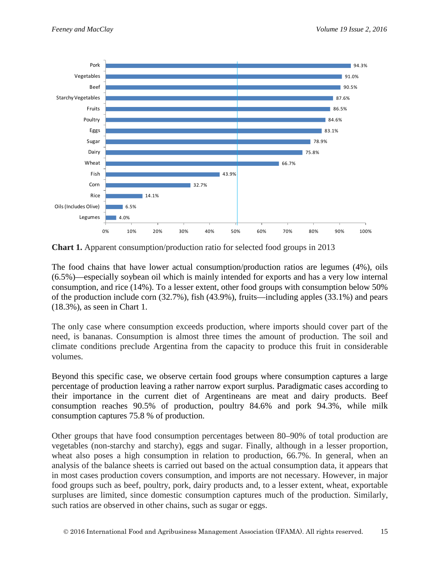

**Chart 1.** Apparent consumption/production ratio for selected food groups in 2013

The food chains that have lower actual consumption/production ratios are legumes (4%), oils (6.5%)—especially soybean oil which is mainly intended for exports and has a very low internal consumption, and rice (14%). To a lesser extent, other food groups with consumption below 50% of the production include corn (32.7%), fish (43.9%), fruits—including apples (33.1%) and pears (18.3%), as seen in Chart 1.

The only case where consumption exceeds production, where imports should cover part of the need, is bananas. Consumption is almost three times the amount of production. The soil and climate conditions preclude Argentina from the capacity to produce this fruit in considerable volumes.

Beyond this specific case, we observe certain food groups where consumption captures a large percentage of production leaving a rather narrow export surplus. Paradigmatic cases according to their importance in the current diet of Argentineans are meat and dairy products. Beef consumption reaches 90.5% of production, poultry 84.6% and pork 94.3%, while milk consumption captures 75.8 % of production.

Other groups that have food consumption percentages between 80–90% of total production are vegetables (non-starchy and starchy), eggs and sugar. Finally, although in a lesser proportion, wheat also poses a high consumption in relation to production, 66.7%. In general, when an analysis of the balance sheets is carried out based on the actual consumption data, it appears that in most cases production covers consumption, and imports are not necessary. However, in major food groups such as beef, poultry, pork, dairy products and, to a lesser extent, wheat, exportable surpluses are limited, since domestic consumption captures much of the production. Similarly, such ratios are observed in other chains, such as sugar or eggs.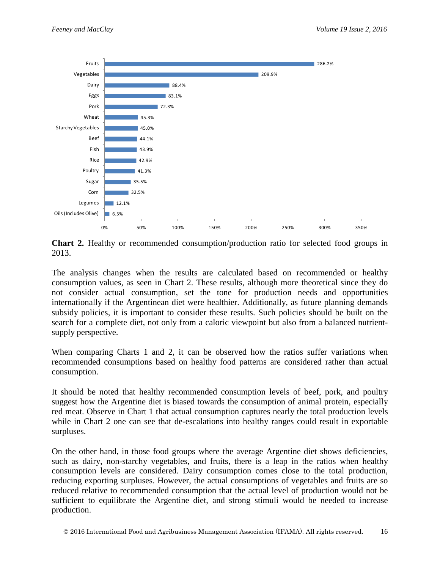

**Chart 2.** Healthy or recommended consumption/production ratio for selected food groups in 2013.

The analysis changes when the results are calculated based on recommended or healthy consumption values, as seen in Chart 2. These results, although more theoretical since they do not consider actual consumption, set the tone for production needs and opportunities internationally if the Argentinean diet were healthier. Additionally, as future planning demands subsidy policies, it is important to consider these results. Such policies should be built on the search for a complete diet, not only from a caloric viewpoint but also from a balanced nutrientsupply perspective.

When comparing Charts 1 and 2, it can be observed how the ratios suffer variations when recommended consumptions based on healthy food patterns are considered rather than actual consumption.

It should be noted that healthy recommended consumption levels of beef, pork, and poultry suggest how the Argentine diet is biased towards the consumption of animal protein, especially red meat. Observe in Chart 1 that actual consumption captures nearly the total production levels while in Chart 2 one can see that de-escalations into healthy ranges could result in exportable surpluses.

On the other hand, in those food groups where the average Argentine diet shows deficiencies, such as dairy, non-starchy vegetables, and fruits, there is a leap in the ratios when healthy consumption levels are considered. Dairy consumption comes close to the total production, reducing exporting surpluses. However, the actual consumptions of vegetables and fruits are so reduced relative to recommended consumption that the actual level of production would not be sufficient to equilibrate the Argentine diet, and strong stimuli would be needed to increase production.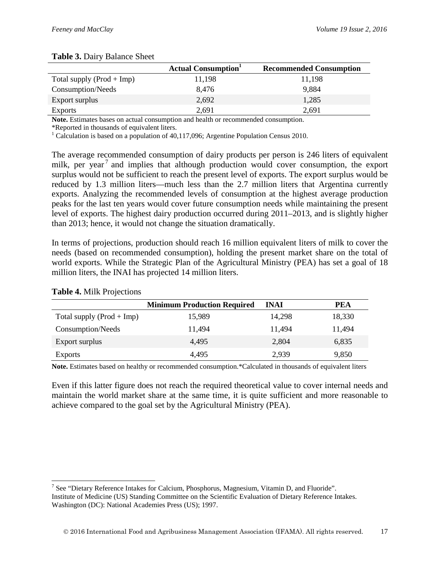|                             | <b>Actual Consumption</b> | <b>Recommended Consumption</b> |
|-----------------------------|---------------------------|--------------------------------|
| Total supply $(Prod + Imp)$ | 11,198                    | 11,198                         |
| Consumption/Needs           | 8,476                     | 9,884                          |
| Export surplus              | 2,692                     | 1,285                          |
| Exports                     | 2,691                     | 2,691                          |

#### **Table 3.** Dairy Balance Sheet

**Note.** Estimates bases on actual consumption and health or recommended consumption.

\*Reported in thousands of equivalent liters.

 $1$  Calculation is based on a population of 40,117,096; Argentine Population Census 2010.

The average recommended consumption of dairy products per person is 246 liters of equivalent milk, per year<sup>[7](#page-16-0)</sup> and implies that although production would cover consumption, the export surplus would not be sufficient to reach the present level of exports. The export surplus would be reduced by 1.3 million liters—much less than the 2.7 million liters that Argentina currently exports. Analyzing the recommended levels of consumption at the highest average production peaks for the last ten years would cover future consumption needs while maintaining the present level of exports. The highest dairy production occurred during 2011–2013, and is slightly higher than 2013; hence, it would not change the situation dramatically.

In terms of projections, production should reach 16 million equivalent liters of milk to cover the needs (based on recommended consumption), holding the present market share on the total of world exports. While the Strategic Plan of the Agricultural Ministry (PEA) has set a goal of 18 million liters, the INAI has projected 14 million liters.

|                             | <b>Minimum Production Required</b> | <b>INAI</b> | PEA    |
|-----------------------------|------------------------------------|-------------|--------|
| Total supply $(Prod + Imp)$ | 15,989                             | 14,298      | 18,330 |
| Consumption/Needs           | 11,494                             | 11.494      | 11,494 |
| Export surplus              | 4,495                              | 2.804       | 6,835  |
| <b>Exports</b>              | 4,495                              | 2,939       | 9,850  |

#### **Table 4.** Milk Projections

**Note.** Estimates based on healthy or recommended consumption.\*Calculated in thousands of equivalent liters

Even if this latter figure does not reach the required theoretical value to cover internal needs and maintain the world market share at the same time, it is quite sufficient and more reasonable to achieve compared to the goal set by the Agricultural Ministry (PEA).

<span id="page-16-0"></span><sup>&</sup>lt;sup>7</sup> See "Dietary Reference Intakes for Calcium, Phosphorus, Magnesium, Vitamin D, and Fluoride". Institute of Medicine (US) Standing Committee on the Scientific Evaluation of Dietary Reference Intakes. Washington (DC): National Academies Press (US); 1997.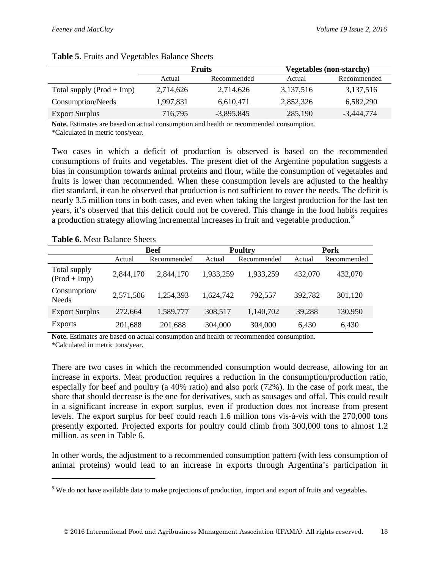|                             | <b>Fruits</b> |              |           | <b>Vegetables (non-starchy)</b> |
|-----------------------------|---------------|--------------|-----------|---------------------------------|
|                             | Actual        | Recommended  | Actual    | Recommended                     |
| Total supply $(Prod + Imp)$ | 2,714,626     | 2,714,626    | 3,137,516 | 3,137,516                       |
| Consumption/Needs           | 1,997,831     | 6,610,471    | 2,852,326 | 6,582,290                       |
| <b>Export Surplus</b>       | 716,795       | $-3,895,845$ | 285,190   | -3.444.774                      |

#### **Table 5.** Fruits and Vegetables Balance Sheets

**Note.** Estimates are based on actual consumption and health or recommended consumption.

\*Calculated in metric tons/year.

Two cases in which a deficit of production is observed is based on the recommended consumptions of fruits and vegetables. The present diet of the Argentine population suggests a bias in consumption towards animal proteins and flour, while the consumption of vegetables and fruits is lower than recommended. When these consumption levels are adjusted to the healthy diet standard, it can be observed that production is not sufficient to cover the needs. The deficit is nearly 3.5 million tons in both cases, and even when taking the largest production for the last ten years, it's observed that this deficit could not be covered. This change in the food habits requires a production strategy allowing incremental increases in fruit and vegetable production.<sup>[8](#page-17-0)</sup>

**Table 6.** Meat Balance Sheets

 $\overline{a}$ 

|                                | <b>Beef</b> |             | <b>Poultry</b> |             | Pork    |             |
|--------------------------------|-------------|-------------|----------------|-------------|---------|-------------|
|                                | Actual      | Recommended | Actual         | Recommended | Actual  | Recommended |
| Total supply<br>$(Prod + Imp)$ | 2,844,170   | 2,844,170   | 1,933,259      | 1,933,259   | 432,070 | 432,070     |
| Consumption/<br><b>Needs</b>   | 2,571,506   | 1,254,393   | 1,624,742      | 792,557     | 392,782 | 301,120     |
| <b>Export Surplus</b>          | 272,664     | 1,589,777   | 308,517        | 1,140,702   | 39,288  | 130,950     |
| <b>Exports</b>                 | 201,688     | 201,688     | 304,000        | 304,000     | 6,430   | 6,430       |

**Note.** Estimates are based on actual consumption and health or recommended consumption. \*Calculated in metric tons/year.

There are two cases in which the recommended consumption would decrease, allowing for an increase in exports. Meat production requires a reduction in the consumption/production ratio, especially for beef and poultry (a 40% ratio) and also pork (72%). In the case of pork meat, the share that should decrease is the one for derivatives, such as sausages and offal. This could result in a significant increase in export surplus, even if production does not increase from present levels. The export surplus for beef could reach 1.6 million tons vis-à-vis with the 270,000 tons presently exported. Projected exports for poultry could climb from 300,000 tons to almost 1.2 million, as seen in Table 6.

In other words, the adjustment to a recommended consumption pattern (with less consumption of animal proteins) would lead to an increase in exports through Argentina's participation in

<span id="page-17-0"></span><sup>&</sup>lt;sup>8</sup> We do not have available data to make projections of production, import and export of fruits and vegetables.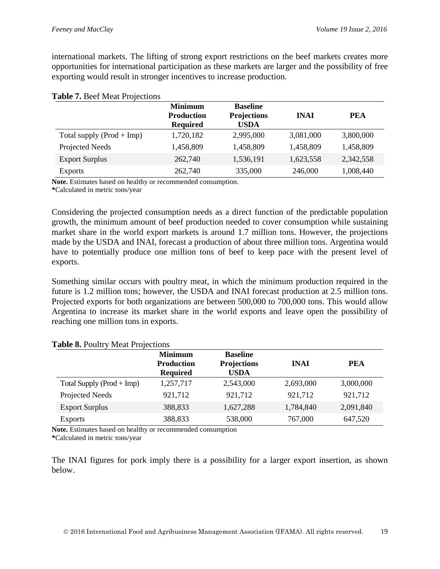international markets. The lifting of strong export restrictions on the beef markets creates more opportunities for international participation as these markets are larger and the possibility of free exporting would result in stronger incentives to increase production.

|                             | <b>Minimum</b>                       | <b>Baseline</b>                   |             |            |
|-----------------------------|--------------------------------------|-----------------------------------|-------------|------------|
|                             | <b>Production</b><br><b>Required</b> | <b>Projections</b><br><b>USDA</b> | <b>INAI</b> | <b>PEA</b> |
| Total supply $(Prod + Imp)$ | 1,720,182                            | 2,995,000                         | 3,081,000   | 3,800,000  |
| Projected Needs             | 1,458,809                            | 1,458,809                         | 1,458,809   | 1,458,809  |
| <b>Export Surplus</b>       | 262,740                              | 1,536,191                         | 1,623,558   | 2,342,558  |
| <b>Exports</b>              | 262,740                              | 335,000                           | 246,000     | 1,008,440  |

#### **Table 7.** Beef Meat Projections

**Note.** Estimates based on healthy or recommended consumption.

**\***Calculated in metric tons/year

Considering the projected consumption needs as a direct function of the predictable population growth, the minimum amount of beef production needed to cover consumption while sustaining market share in the world export markets is around 1.7 million tons. However, the projections made by the USDA and INAI, forecast a production of about three million tons. Argentina would have to potentially produce one million tons of beef to keep pace with the present level of exports.

Something similar occurs with poultry meat, in which the minimum production required in the future is 1.2 million tons; however, the USDA and INAI forecast production at 2.5 million tons. Projected exports for both organizations are between 500,000 to 700,000 tons. This would allow Argentina to increase its market share in the world exports and leave open the possibility of reaching one million tons in exports.

#### **Table 8.** Poultry Meat Projections

|                             | <b>Minimum</b><br><b>Production</b><br><b>Required</b> | <b>Baseline</b><br><b>Projections</b><br><b>USDA</b> | <b>INAI</b> | <b>PEA</b> |
|-----------------------------|--------------------------------------------------------|------------------------------------------------------|-------------|------------|
| Total Supply $(Prod + Imp)$ | 1,257,717                                              | 2,543,000                                            | 2,693,000   | 3,000,000  |
| Projected Needs             | 921,712                                                | 921,712                                              | 921,712     | 921,712    |
| <b>Export Surplus</b>       | 388,833                                                | 1,627,288                                            | 1,784,840   | 2,091,840  |
| <b>Exports</b>              | 388,833                                                | 538,000                                              | 767,000     | 647,520    |

**Note.** Estimates based on healthy or recommended consumption

**\***Calculated in metric tons/year

The INAI figures for pork imply there is a possibility for a larger export insertion, as shown below.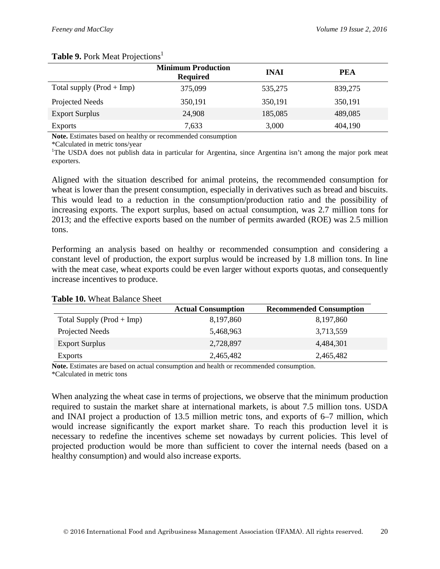#### **Table 9.** Pork Meat Projections<sup>1</sup>

|                             | <b>Minimum Production</b><br><b>Required</b> | <b>INAI</b> | <b>PEA</b> |
|-----------------------------|----------------------------------------------|-------------|------------|
| Total supply $(Prod + Imp)$ | 375,099                                      | 535,275     | 839,275    |
| Projected Needs             | 350,191                                      | 350,191     | 350,191    |
| <b>Export Surplus</b>       | 24,908                                       | 185,085     | 489,085    |
| Exports                     | 7,633                                        | 3,000       | 404,190    |

**Note.** Estimates based on healthy or recommended consumption

\*Calculated in metric tons/year 1

<sup>1</sup>The USDA does not publish data in particular for Argentina, since Argentina isn't among the major pork meat exporters.

Aligned with the situation described for animal proteins, the recommended consumption for wheat is lower than the present consumption, especially in derivatives such as bread and biscuits. This would lead to a reduction in the consumption/production ratio and the possibility of increasing exports. The export surplus, based on actual consumption, was 2.7 million tons for 2013; and the effective exports based on the number of permits awarded (ROE) was 2.5 million tons.

Performing an analysis based on healthy or recommended consumption and considering a constant level of production, the export surplus would be increased by 1.8 million tons. In line with the meat case, wheat exports could be even larger without exports quotas, and consequently increase incentives to produce.

|                             | <b>Actual Consumption</b> | <b>Recommended Consumption</b> |
|-----------------------------|---------------------------|--------------------------------|
| Total Supply $(Prod + Imp)$ | 8,197,860                 | 8,197,860                      |
| Projected Needs             | 5,468,963                 | 3,713,559                      |
| <b>Export Surplus</b>       | 2,728,897                 | 4.484.301                      |
| <b>Exports</b>              | 2,465,482                 | 2,465,482                      |

#### **Table 10.** Wheat Balance Sheet

**Note.** Estimates are based on actual consumption and health or recommended consumption.

\*Calculated in metric tons

When analyzing the wheat case in terms of projections, we observe that the minimum production required to sustain the market share at international markets, is about 7.5 million tons. USDA and INAI project a production of 13.5 million metric tons, and exports of 6–7 million, which would increase significantly the export market share. To reach this production level it is necessary to redefine the incentives scheme set nowadays by current policies. This level of projected production would be more than sufficient to cover the internal needs (based on a healthy consumption) and would also increase exports.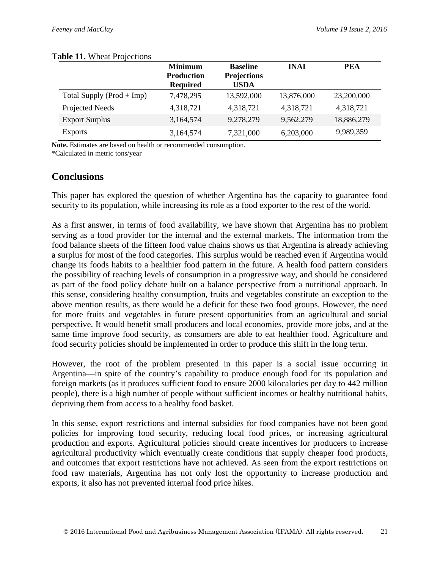|                             | <b>Minimum</b><br><b>Production</b><br><b>Required</b> | <b>Baseline</b><br><b>Projections</b><br><b>USDA</b> | <b>INAI</b> | <b>PEA</b> |
|-----------------------------|--------------------------------------------------------|------------------------------------------------------|-------------|------------|
| Total Supply $(Prod + Imp)$ | 7,478,295                                              | 13,592,000                                           | 13,876,000  | 23,200,000 |
| Projected Needs             | 4,318,721                                              | 4,318,721                                            | 4,318,721   | 4,318,721  |
| <b>Export Surplus</b>       | 3,164,574                                              | 9,278,279                                            | 9,562,279   | 18,886,279 |
| <b>Exports</b>              | 3,164,574                                              | 7,321,000                                            | 6,203,000   | 9,989,359  |

#### **Table 11.** Wheat Projections

**Note.** Estimates are based on health or recommended consumption.

\*Calculated in metric tons/year

## **Conclusions**

This paper has explored the question of whether Argentina has the capacity to guarantee food security to its population, while increasing its role as a food exporter to the rest of the world.

As a first answer, in terms of food availability, we have shown that Argentina has no problem serving as a food provider for the internal and the external markets. The information from the food balance sheets of the fifteen food value chains shows us that Argentina is already achieving a surplus for most of the food categories. This surplus would be reached even if Argentina would change its foods habits to a healthier food pattern in the future. A health food pattern considers the possibility of reaching levels of consumption in a progressive way, and should be considered as part of the food policy debate built on a balance perspective from a nutritional approach. In this sense, considering healthy consumption, fruits and vegetables constitute an exception to the above mention results, as there would be a deficit for these two food groups. However, the need for more fruits and vegetables in future present opportunities from an agricultural and social perspective. It would benefit small producers and local economies, provide more jobs, and at the same time improve food security, as consumers are able to eat healthier food. Agriculture and food security policies should be implemented in order to produce this shift in the long term.

However, the root of the problem presented in this paper is a social issue occurring in Argentina—in spite of the country's capability to produce enough food for its population and foreign markets (as it produces sufficient food to ensure 2000 kilocalories per day to 442 million people), there is a high number of people without sufficient incomes or healthy nutritional habits, depriving them from access to a healthy food basket.

In this sense, export restrictions and internal subsidies for food companies have not been good policies for improving food security, reducing local food prices, or increasing agricultural production and exports. Agricultural policies should create incentives for producers to increase agricultural productivity which eventually create conditions that supply cheaper food products, and outcomes that export restrictions have not achieved. As seen from the export restrictions on food raw materials, Argentina has not only lost the opportunity to increase production and exports, it also has not prevented internal food price hikes.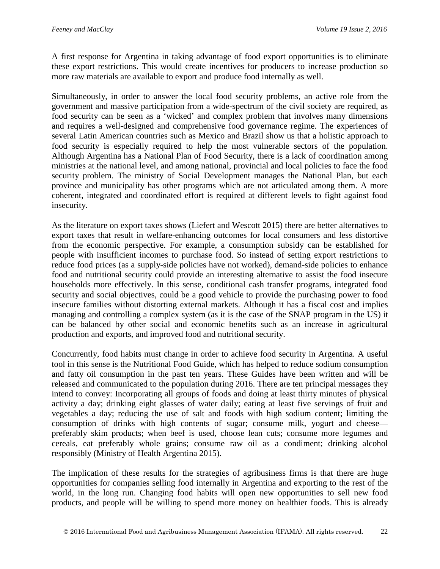A first response for Argentina in taking advantage of food export opportunities is to eliminate these export restrictions. This would create incentives for producers to increase production so more raw materials are available to export and produce food internally as well.

Simultaneously, in order to answer the local food security problems, an active role from the government and massive participation from a wide-spectrum of the civil society are required, as food security can be seen as a 'wicked' and complex problem that involves many dimensions and requires a well-designed and comprehensive food governance regime. The experiences of several Latin American countries such as Mexico and Brazil show us that a holistic approach to food security is especially required to help the most vulnerable sectors of the population. Although Argentina has a National Plan of Food Security, there is a lack of coordination among ministries at the national level, and among national, provincial and local policies to face the food security problem. The ministry of Social Development manages the National Plan, but each province and municipality has other programs which are not articulated among them. A more coherent, integrated and coordinated effort is required at different levels to fight against food insecurity.

As the literature on export taxes shows (Liefert and Wescott 2015) there are better alternatives to export taxes that result in welfare-enhancing outcomes for local consumers and less distortive from the economic perspective. For example, a consumption subsidy can be established for people with insufficient incomes to purchase food. So instead of setting export restrictions to reduce food prices (as a supply-side policies have not worked), demand-side policies to enhance food and nutritional security could provide an interesting alternative to assist the food insecure households more effectively. In this sense, conditional cash transfer programs, integrated food security and social objectives, could be a good vehicle to provide the purchasing power to food insecure families without distorting external markets. Although it has a fiscal cost and implies managing and controlling a complex system (as it is the case of the SNAP program in the US) it can be balanced by other social and economic benefits such as an increase in agricultural production and exports, and improved food and nutritional security.

Concurrently, food habits must change in order to achieve food security in Argentina. A useful tool in this sense is the Nutritional Food Guide, which has helped to reduce sodium consumption and fatty oil consumption in the past ten years. These Guides have been written and will be released and communicated to the population during 2016. There are ten principal messages they intend to convey: Incorporating all groups of foods and doing at least thirty minutes of physical activity a day; drinking eight glasses of water daily; eating at least five servings of fruit and vegetables a day; reducing the use of salt and foods with high sodium content; limiting the consumption of drinks with high contents of sugar; consume milk, yogurt and cheese preferably skim products; when beef is used, choose lean cuts; consume more legumes and cereals, eat preferably whole grains; consume raw oil as a condiment; drinking alcohol responsibly (Ministry of Health Argentina 2015).

The implication of these results for the strategies of agribusiness firms is that there are huge opportunities for companies selling food internally in Argentina and exporting to the rest of the world, in the long run. Changing food habits will open new opportunities to sell new food products, and people will be willing to spend more money on healthier foods. This is already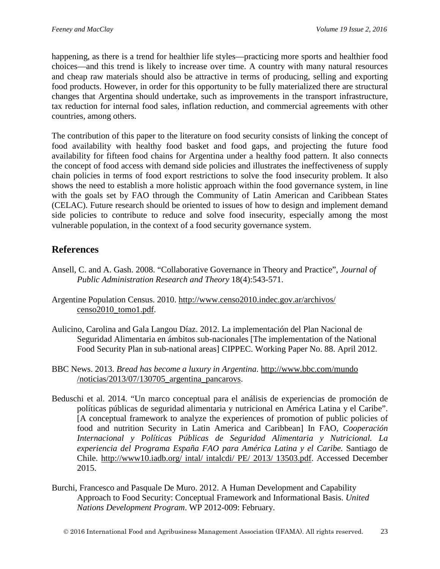happening, as there is a trend for healthier life styles—practicing more sports and healthier food choices—and this trend is likely to increase over time. A country with many natural resources and cheap raw materials should also be attractive in terms of producing, selling and exporting food products. However, in order for this opportunity to be fully materialized there are structural changes that Argentina should undertake, such as improvements in the transport infrastructure, tax reduction for internal food sales, inflation reduction, and commercial agreements with other countries, among others.

The contribution of this paper to the literature on food security consists of linking the concept of food availability with healthy food basket and food gaps, and projecting the future food availability for fifteen food chains for Argentina under a healthy food pattern. It also connects the concept of food access with demand side policies and illustrates the ineffectiveness of supply chain policies in terms of food export restrictions to solve the food insecurity problem. It also shows the need to establish a more holistic approach within the food governance system, in line with the goals set by FAO through the Community of Latin American and Caribbean States (CELAC). Future research should be oriented to issues of how to design and implement demand side policies to contribute to reduce and solve food insecurity, especially among the most vulnerable population, in the context of a food security governance system.

# **References**

- Ansell, C. and A. Gash. 2008. "Collaborative Governance in Theory and Practice", *Journal of Public Administration Research and Theory* 18(4):543-571.
- Argentine Population Census. 2010. [http://www.censo2010.indec.gov.ar/archivos/](http://www.censo2010.indec.gov.ar/archivos/%20censo2010_tomo1.pdf)  [censo2010\\_tomo1.pdf.](http://www.censo2010.indec.gov.ar/archivos/%20censo2010_tomo1.pdf)
- Aulicino, Carolina and Gala Langou Díaz. 2012. La implementación del Plan Nacional de Seguridad Alimentaria en ámbitos sub-nacionales [The implementation of the National Food Security Plan in sub-national areas] CIPPEC. Working Paper No. 88. April 2012.
- BBC News. 2013. *Bread has become a luxury in Argentina*. [http://www.bbc.com/mundo](http://www.bbc.com/mundo%20/)  [/](http://www.bbc.com/mundo%20/)[noticias/2013/07/130705\\_argentina\\_pancarovs.](http://www.bbc.com/mundo/noticias/2013/07/130705_argentina_pan_caro_vs)
- Beduschi et al. 2014. "Un marco conceptual para el análisis de experiencias de promoción de políticas públicas de seguridad alimentaria y nutricional en América Latina y el Caribe". [A conceptual framework to analyze the experiences of promotion of public policies of food and nutrition Security in Latin America and Caribbean] In FAO*, Cooperación Internacional y Políticas Públicas de Seguridad Alimentaria y Nutricional. La experiencia del Programa España FAO para América Latina y el Caribe.* Santiago de Chile. [http://www10.iadb.org/ intal/ intalcdi/ PE/ 2013/ 13503.pdf.](http://www10.iadb.org/%20intal/%20intalcdi/%20PE/%202013/%2013503.pdf) Accessed December 2015.
- Burchi, Francesco and Pasquale De Muro. 2012. A Human Development and Capability Approach to Food Security: Conceptual Framework and Informational Basis. *United Nations Development Program*. WP 2012-009: February.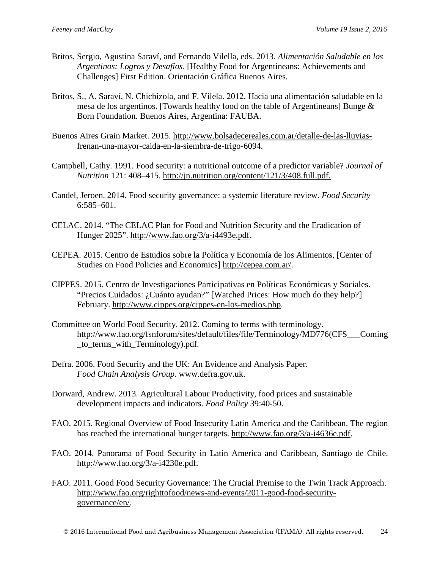- Britos, Sergio, Agustina Saraví, and Fernando Vilella, eds. 2013. *Alimentación Saludable en los Argentinos: Logros y Desafíos*. [Healthy Food for Argentineans: Achievements and Challenges] First Edition. Orientación Gráfica Buenos Aires.
- Britos, S., A. Saraví, N. Chichizola, and F. Vilela. 2012. Hacia una alimentación saludable en la mesa de los argentinos. [Towards healthy food on the table of Argentineans] Bunge & Born Foundation. Buenos Aires, Argentina: FAUBA.
- Buenos Aires Grain Market. 2015. [http://www.bolsadecereales.com.ar/detalle-de-las-lluvias](http://www.bolsadecereales.com.ar/detalle-de-las-lluvias-frenan-una-mayor-caida-en-la-siembra-de-trigo-6094)[frenan-una-mayor-caida-en-la-siembra-de-trigo-6094.](http://www.bolsadecereales.com.ar/detalle-de-las-lluvias-frenan-una-mayor-caida-en-la-siembra-de-trigo-6094)
- Campbell, Cathy. 1991. Food security: a nutritional outcome of a predictor variable? *Journal of Nutrition* 121: 408–415. [http://jn.nutrition.org/content/121/3/408.full.pdf.](http://jn.nutrition.org/content/121/3/408.full.pdf)
- Candel, Jeroen. 2014. Food security governance: a systemic literature review. *Food Security* 6:585–601.
- CELAC. 2014. "The CELAC Plan for Food and Nutrition Security and the Eradication of Hunger 2025". [http://www.fao.org/3/a-i4493e.pdf.](http://www.fao.org/3/a-i4493e.pdf)
- CEPEA. 2015. Centro de Estudios sobre la Política y Economía de los Alimentos, [Center of Studies on Food Policies and Economics] [http://cepea.com.ar/.](http://cepea.com.ar/)
- CIPPES. 2015. Centro de Investigaciones Participativas en Políticas Económicas y Sociales. "Precios Cuidados: ¿Cuánto ayudan?" [Watched Prices: How much do they help?] February. [http://www.cippes.org/cippes-en-los-medios.php.](http://www.cippes.org/cippes-en-los-medios.php)
- Committee on World Food Security. 2012. Coming to terms with terminology. http://www.fao.org/fsnforum/sites/default/files/file/Terminology/MD776(CFS\_\_\_Coming to terms with Terminology).pdf.
- Defra. 2006. Food Security and the UK: An Evidence and Analysis Paper. *Food Chain Analysis Group.* [www.defra.gov.uk.](http://www.defra.gov.uk/)
- Dorward, Andrew. 2013. Agricultural Labour Productivity, food prices and sustainable development impacts and indicators. *Food Policy* 39:40-50.
- FAO. 2015. Regional Overview of Food Insecurity Latin America and the Caribbean. The region has reached the international hunger targets. [http://www.fao.org/3/a-i4636e.pdf.](http://www.fao.org/3/a-i4636e.pdf)
- FAO. 2014. Panorama of Food Security in Latin America and Caribbean, Santiago de Chile. [http://www.fao.org/3/a-i4230e.pdf.](http://www.fao.org/3/a-i4230e.pdf)
- FAO. 2011. Good Food Security Governance: The Crucial Premise to the Twin Track Approach. [http://www.fao.org/righttofood/news-and-events/2011-good-food-security](http://www.fao.org/righttofood/news-and-events/2011-good-food-security-governance/en/)[governance/en/.](http://www.fao.org/righttofood/news-and-events/2011-good-food-security-governance/en/)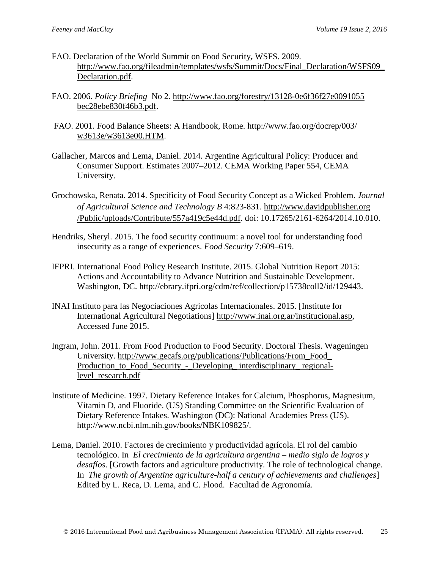- FAO. Declaration of the World Summit on Food Security**,** WSFS. 2009. [http://www.fao.org/fileadmin/templates/wsfs/Summit/Docs/Final\\_Declaration/WSFS09\\_](http://www.fao.org/fileadmin/templates/wsfs/Summit/Docs/Final_Declaration/WSFS09_Declaration.pdf) [Declaration.pdf.](http://www.fao.org/fileadmin/templates/wsfs/Summit/Docs/Final_Declaration/WSFS09_Declaration.pdf)
- FAO. 2006. *Policy Briefing* No 2. [http://www.fao.org/forestry/13128-0e6f36f27e0091055](http://www.fao.org/forestry/13128-0e6f36f27e0091055%20bec28ebe830f46b3.pdf)  [bec28ebe830f46b3.pdf.](http://www.fao.org/forestry/13128-0e6f36f27e0091055%20bec28ebe830f46b3.pdf)
- FAO. 2001. Food Balance Sheets: A Handbook, Rome. [http://www.fao.org/docrep/003/](http://www.fao.org/docrep/003/%20w3613e/w3613e00.HTM)  [w3613e/w3613e00.HTM.](http://www.fao.org/docrep/003/%20w3613e/w3613e00.HTM)
- Gallacher, Marcos and Lema, Daniel. 2014. Argentine Agricultural Policy: Producer and Consumer Support. Estimates 2007–2012. CEMA Working Paper 554, CEMA University.
- Grochowska, Renata. 2014. Specificity of Food Security Concept as a Wicked Problem. *Journal of Agricultural Science and Technology B* 4:823-831. http://www.davidpublisher.org /Public/uploads/Contribute/557a419c5e44d.pdf. doi: 10.17265/2161-6264/2014.10.010.
- Hendriks, Sheryl. 2015. The food security continuum: a novel tool for understanding food insecurity as a range of experiences. *Food Security* 7:609–619.
- IFPRI. International Food Policy Research Institute. 2015. Global Nutrition Report 2015: Actions and Accountability to Advance Nutrition and Sustainable Development. Washington, DC. http://ebrary.ifpri.org/cdm/ref/collection/p15738coll2/id/129443.
- INAI Instituto para las Negociaciones Agrícolas Internacionales. 2015. [Institute for International Agricultural Negotiations] [http://www.inai.org.ar/institucional.asp,](http://www.inai.org.ar/institucional.asp) Accessed June 2015.
- Ingram, John. 2011. From Food Production to Food Security. Doctoral Thesis. Wageningen University. [http://www.gecafs.org/publications/Publications/From\\_Food\\_](http://www.gecafs.org/publications/Publications/From_Food_%20Production_to_Food_Security_-_Developing_%20interdisciplinary_%20regional-level_research.pdf)  [Production\\_to\\_Food\\_Security\\_-\\_Developing\\_ interdisciplinary\\_ regional](http://www.gecafs.org/publications/Publications/From_Food_%20Production_to_Food_Security_-_Developing_%20interdisciplinary_%20regional-level_research.pdf)[level\\_research.pdf](http://www.gecafs.org/publications/Publications/From_Food_%20Production_to_Food_Security_-_Developing_%20interdisciplinary_%20regional-level_research.pdf)
- Institute of Medicine. 1997. Dietary Reference Intakes for Calcium, Phosphorus, Magnesium, Vitamin D, and Fluoride. (US) Standing Committee on the Scientific Evaluation of Dietary Reference Intakes. Washington (DC): National Academies Press (US). http://www.ncbi.nlm.nih.gov/books/NBK109825/.
- Lema, Daniel. 2010. Factores de crecimiento y productividad agrícola. El rol del cambio tecnológico. In *El crecimiento de la agricultura argentina – medio siglo de logros y desafíos*. [Growth factors and agriculture productivity. The role of technological change. In *The growth of Argentine agriculture-half a century of achievements and challenges*] Edited by L. Reca, D. Lema, and C. Flood. Facultad de Agronomía.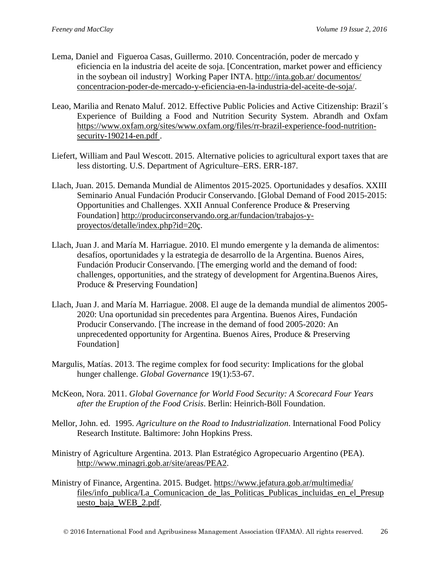- Lema, Daniel and Figueroa Casas, Guillermo. 2010. Concentración, poder de mercado y eficiencia en la industria del aceite de soja. [Concentration, market power and efficiency in the soybean oil industry] Working Paper INTA. [http://inta.gob.ar/ documentos/](http://inta.gob.ar/%20documentos/%20concentracion-poder-de-mercado-y-eficiencia-en-la-industria-del-aceite-de-soja/)  [concentracion-poder-de-mercado-y-eficiencia-en-la-industria-del-aceite-de-soja/.](http://inta.gob.ar/%20documentos/%20concentracion-poder-de-mercado-y-eficiencia-en-la-industria-del-aceite-de-soja/)
- Leao, Marilia and Renato Maluf. 2012. Effective Public Policies and Active Citizenship: Brazil´s Experience of Building a Food and Nutrition Security System. Abrandh and Oxfam [https://www.oxfam.org/sites/www.oxfam.org/files/rr-brazil-experience-food-nutrition](https://www.oxfam.org/sites/www.oxfam.org/files/rr-brazil-experience-food-nutrition-security-190214-en.pdf)[security-190214-en.pdf](https://www.oxfam.org/sites/www.oxfam.org/files/rr-brazil-experience-food-nutrition-security-190214-en.pdf) .
- Liefert, William and Paul Wescott. 2015. Alternative policies to agricultural export taxes that are less distorting. U.S. Department of Agriculture–ERS. ERR-187.
- Llach, Juan. 2015. Demanda Mundial de Alimentos 2015-2025. Oportunidades y desafíos. XXIII Seminario Anual Fundación Producir Conservando. [Global Demand of Food 2015-2015: Opportunities and Challenges. XXII Annual Conference Produce & Preserving Foundation] [http://producirconservando.org.ar/fundacion/trabajos-y](http://producirconservando.org.ar/fundacion/trabajos-y-proyectos/detalle/index.php?id=20%C3%A7)[proyectos/detalle/index.php?id=20ç.](http://producirconservando.org.ar/fundacion/trabajos-y-proyectos/detalle/index.php?id=20%C3%A7)
- Llach, Juan J. and María M. Harriague. 2010. El mundo emergente y la demanda de alimentos: desafíos, oportunidades y la estrategia de desarrollo de la Argentina. Buenos Aires, Fundación Producir Conservando. [The emerging world and the demand of food: challenges, opportunities, and the strategy of development for Argentina.Buenos Aires, Produce & Preserving Foundation]
- Llach, Juan J. and María M. Harriague. 2008. El auge de la demanda mundial de alimentos 2005- 2020: Una oportunidad sin precedentes para Argentina. Buenos Aires, Fundación Producir Conservando. [The increase in the demand of food 2005-2020: An unprecedented opportunity for Argentina. Buenos Aires, Produce & Preserving Foundation]
- Margulis, Matías. 2013. The regime complex for food security: Implications for the global hunger challenge. *Global Governance* 19(1):53-67.
- McKeon, Nora. 2011. *Global Governance for World Food Security: A Scorecard Four Years after the Eruption of the Food Crisis*. Berlin: Heinrich-Böll Foundation.
- Mellor, John. ed. 1995. *Agriculture on the Road to Industrialization*. International Food Policy Research Institute. Baltimore: John Hopkins Press.
- Ministry of Agriculture Argentina. 2013. Plan Estratégico Agropecuario Argentino (PEA). [http://www.minagri.gob.ar/site/areas/PEA2.](http://www.minagri.gob.ar/site/areas/PEA2)
- Ministry of Finance, Argentina. 2015. Budget. [https://www.jefatura.gob.ar/multimedia/](https://www.jefatura.gob.ar/multimedia/%20files/info_publica/La_Comunicacion_de_las_Politicas_Publicas_incluidas_en_el_Presupuesto_baja_WEB_2.pdf)  [files/info\\_publica/La\\_Comunicacion\\_de\\_las\\_Politicas\\_Publicas\\_incluidas\\_en\\_el\\_Presup](https://www.jefatura.gob.ar/multimedia/%20files/info_publica/La_Comunicacion_de_las_Politicas_Publicas_incluidas_en_el_Presupuesto_baja_WEB_2.pdf) [uesto\\_baja\\_WEB\\_2.pdf.](https://www.jefatura.gob.ar/multimedia/%20files/info_publica/La_Comunicacion_de_las_Politicas_Publicas_incluidas_en_el_Presupuesto_baja_WEB_2.pdf)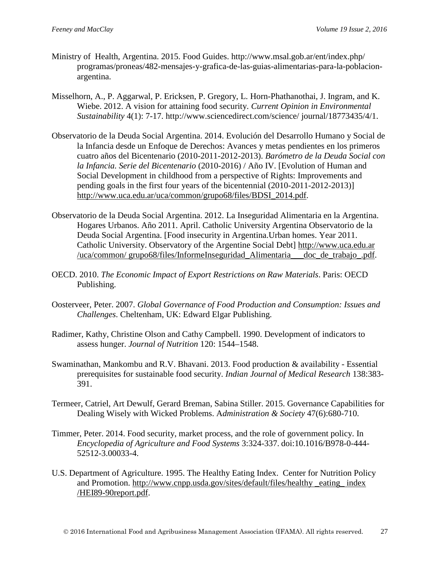- Ministry of Health, Argentina. 2015. Food Guides. http://www.msal.gob.ar/ent/index.php/ programas/proneas/482-mensajes-y-grafica-de-las-guias-alimentarias-para-la-poblacionargentina.
- Misselhorn, A., P. Aggarwal, P. Ericksen, P. Gregory, L. Horn-Phathanothai, J. Ingram, and K. Wiebe. 2012. A vision for attaining food security. *Current Opinion in Environmental Sustainability* 4(1): 7-17. http://www.sciencedirect.com/science/ journal/18773435/4/1.
- Observatorio de la Deuda Social Argentina. 2014. Evolución del Desarrollo Humano y Social de la Infancia desde un Enfoque de Derechos: Avances y metas pendientes en los primeros cuatro años del Bicentenario (2010-2011-2012-2013). *Barómetro de la Deuda Social con la Infancia. Serie del Bicentenario* (2010-2016) / Año IV. [Evolution of Human and Social Development in childhood from a perspective of Rights: Improvements and pending goals in the first four years of the bicentennial (2010-2011-2012-2013)] [http://www.uca.edu.ar/uca/common/grupo68/files/BDSI\\_2014.pdf.](http://www.uca.edu.ar/uca/common/grupo68/files/BDSI_2014.pdf)
- Observatorio de la Deuda Social Argentina. 2012. La Inseguridad Alimentaria en la Argentina. Hogares Urbanos. Año 2011. April. Catholic University Argentina Observatorio de la Deuda Social Argentina. [Food insecurity in Argentina.Urban homes. Year 2011. Catholic University. Observatory of the Argentine Social Debt] http://www.uca.edu.ar /uca/common/ grupo68/files/InformeInseguridad\_Alimentaria\_\_\_doc\_de\_trabajo\_.pdf.
- OECD. 2010. *The Economic Impact of Export Restrictions on Raw Materials*. Paris: OECD Publishing.
- Oosterveer, Peter. 2007. *Global Governance of Food Production and Consumption: Issues and Challenges*. Cheltenham, UK: Edward Elgar Publishing.
- Radimer, Kathy, Christine Olson and Cathy Campbell. 1990. Development of indicators to assess hunger. *Journal of Nutrition* 120: 1544–1548.
- Swaminathan, Mankombu and R.V. Bhavani. 2013. Food production & availability Essential prerequisites for sustainable food security. *Indian Journal of Medical Research* 138:383- 391.
- Termeer, Catriel, Art Dewulf, Gerard Breman, Sabina Stiller. 2015. Governance Capabilities for Dealing Wisely with Wicked Problems. A*dministration & Society* 47(6):680-710.
- Timmer, Peter. 2014. Food security, market process, and the role of government policy. In *Encyclopedia of Agriculture and Food Systems* 3:324-337. doi:10.1016/B978-0-444- 52512-3.00033-4.
- U.S. Department of Agriculture. 1995. The Healthy Eating Index. Center for Nutrition Policy and Promotion. [http://www.cnpp.usda.gov/sites/default/files/healthy \\_eating\\_ index](http://www.cnpp.usda.gov/sites/default/files/healthy%20_eating_%20index%20/HEI89-90report.pdf)  [/HEI89-90report.pdf.](http://www.cnpp.usda.gov/sites/default/files/healthy%20_eating_%20index%20/HEI89-90report.pdf)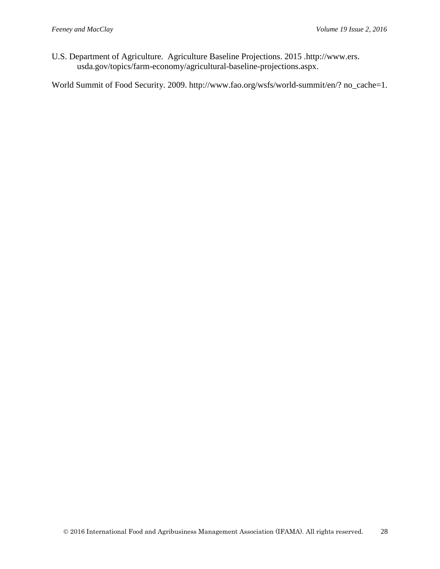U.S. Department of Agriculture. Agriculture Baseline Projections. 2015 .http://www.ers. usda.gov/topics/farm-economy/agricultural-baseline-projections.aspx.

World Summit of Food Security. 2009. http://www.fao.org/wsfs/world-summit/en/? no\_cache=1.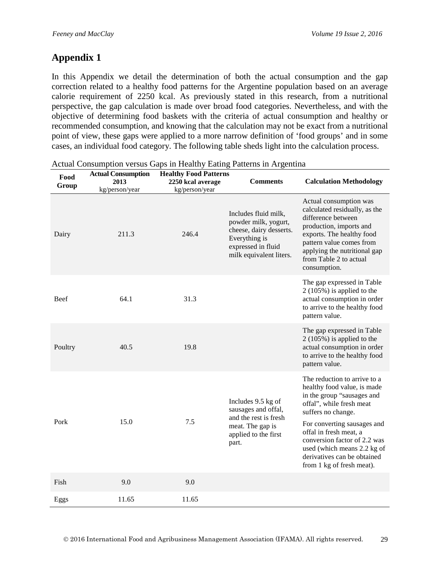# **Appendix 1**

In this Appendix we detail the determination of both the actual consumption and the gap correction related to a healthy food patterns for the Argentine population based on an average calorie requirement of 2250 kcal. As previously stated in this research, from a nutritional perspective, the gap calculation is made over broad food categories. Nevertheless, and with the objective of determining food baskets with the criteria of actual consumption and healthy or recommended consumption, and knowing that the calculation may not be exact from a nutritional point of view, these gaps were applied to a more narrow definition of 'food groups' and in some cases, an individual food category. The following table sheds light into the calculation process.

| Food<br>Group | <b>Actual Consumption</b><br>2013<br>kg/person/year | <b>Healthy Food Patterns</b><br>2250 kcal average<br>kg/person/year | <b>Comments</b>                                                                                                                           | <b>Calculation Methodology</b>                                                                                                                                                                                                                                                                                                  |
|---------------|-----------------------------------------------------|---------------------------------------------------------------------|-------------------------------------------------------------------------------------------------------------------------------------------|---------------------------------------------------------------------------------------------------------------------------------------------------------------------------------------------------------------------------------------------------------------------------------------------------------------------------------|
| Dairy         | 211.3                                               | 246.4                                                               | Includes fluid milk,<br>powder milk, yogurt,<br>cheese, dairy desserts.<br>Everything is<br>expressed in fluid<br>milk equivalent liters. | Actual consumption was<br>calculated residually, as the<br>difference between<br>production, imports and<br>exports. The healthy food<br>pattern value comes from<br>applying the nutritional gap<br>from Table 2 to actual<br>consumption.                                                                                     |
| Beef          | 64.1                                                | 31.3                                                                |                                                                                                                                           | The gap expressed in Table<br>$2(105\%)$ is applied to the<br>actual consumption in order<br>to arrive to the healthy food<br>pattern value.                                                                                                                                                                                    |
| Poultry       | 40.5                                                | 19.8                                                                |                                                                                                                                           | The gap expressed in Table<br>$2(105\%)$ is applied to the<br>actual consumption in order<br>to arrive to the healthy food<br>pattern value.                                                                                                                                                                                    |
| Pork          | 15.0                                                | 7.5                                                                 | Includes 9.5 kg of<br>sausages and offal,<br>and the rest is fresh<br>meat. The gap is<br>applied to the first<br>part.                   | The reduction to arrive to a<br>healthy food value, is made<br>in the group "sausages and<br>offal", while fresh meat<br>suffers no change.<br>For converting sausages and<br>offal in fresh meat, a<br>conversion factor of 2.2 was<br>used (which means 2.2 kg of<br>derivatives can be obtained<br>from 1 kg of fresh meat). |
| Fish          | 9.0                                                 | 9.0                                                                 |                                                                                                                                           |                                                                                                                                                                                                                                                                                                                                 |
| Eggs          | 11.65                                               | 11.65                                                               |                                                                                                                                           |                                                                                                                                                                                                                                                                                                                                 |

#### Actual Consumption versus Gaps in Healthy Eating Patterns in Argentina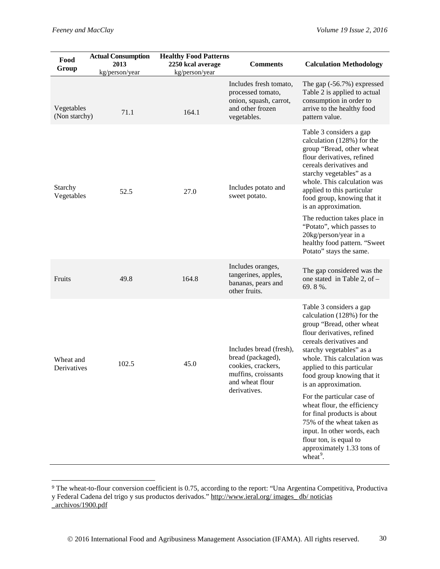$\overline{a}$ 

| Food<br>Group               | <b>Actual Consumption</b><br>2013<br>kg/person/year | <b>Healthy Food Patterns</b><br>2250 kcal average<br>kg/person/year | <b>Comments</b>                                                                                                              | <b>Calculation Methodology</b>                                                                                                                                                                                                                                                                                                                                                                                                                                                                                                  |
|-----------------------------|-----------------------------------------------------|---------------------------------------------------------------------|------------------------------------------------------------------------------------------------------------------------------|---------------------------------------------------------------------------------------------------------------------------------------------------------------------------------------------------------------------------------------------------------------------------------------------------------------------------------------------------------------------------------------------------------------------------------------------------------------------------------------------------------------------------------|
| Vegetables<br>(Non starchy) | 71.1                                                | 164.1                                                               | Includes fresh tomato,<br>processed tomato,<br>onion, squash, carrot,<br>and other frozen<br>vegetables.                     | The gap $(-56.7%)$ expressed<br>Table 2 is applied to actual<br>consumption in order to<br>arrive to the healthy food<br>pattern value.                                                                                                                                                                                                                                                                                                                                                                                         |
| Starchy<br>Vegetables       | 52.5                                                | 27.0                                                                | Includes potato and<br>sweet potato.                                                                                         | Table 3 considers a gap<br>calculation (128%) for the<br>group "Bread, other wheat<br>flour derivatives, refined<br>cereals derivatives and<br>starchy vegetables" as a<br>whole. This calculation was<br>applied to this particular<br>food group, knowing that it<br>is an approximation.                                                                                                                                                                                                                                     |
|                             |                                                     |                                                                     |                                                                                                                              | The reduction takes place in<br>"Potato", which passes to<br>20kg/person/year in a<br>healthy food pattern. "Sweet<br>Potato" stays the same.                                                                                                                                                                                                                                                                                                                                                                                   |
| Fruits                      | 49.8                                                | 164.8                                                               | Includes oranges,<br>tangerines, apples,<br>bananas, pears and<br>other fruits.                                              | The gap considered was the<br>one stated in Table 2, of -<br>69.8%.                                                                                                                                                                                                                                                                                                                                                                                                                                                             |
| Wheat and<br>Derivatives    | 102.5                                               | 45.0                                                                | Includes bread (fresh),<br>bread (packaged),<br>cookies, crackers,<br>muffins, croissants<br>and wheat flour<br>derivatives. | Table 3 considers a gap<br>calculation (128%) for the<br>group "Bread, other wheat<br>flour derivatives, refined<br>cereals derivatives and<br>starchy vegetables" as a<br>whole. This calculation was<br>applied to this particular<br>food group knowing that it<br>is an approximation.<br>For the particular case of<br>wheat flour, the efficiency<br>for final products is about<br>75% of the wheat taken as<br>input. In other words, each<br>flour ton, is equal to<br>approximately 1.33 tons of<br>wheat $\degree$ . |

<span id="page-29-0"></span><sup>&</sup>lt;sup>9</sup> The wheat-to-flour conversion coefficient is 0.75, according to the report: "Una Argentina Competitiva, Productiva y Federal Cadena del trigo y sus productos derivados." [http://www.ieral.org/ images\\_ db/ noticias](http://www.ieral.org/%20images_%20db/%20noticias%20_archivos/1900.pdf)  archivos/1900.pdf